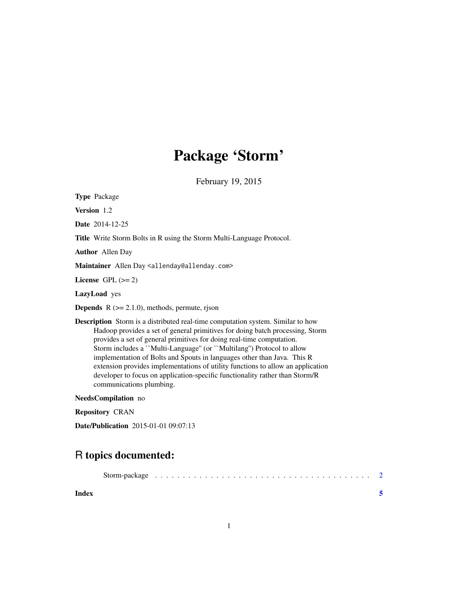## Package 'Storm'

February 19, 2015

Version 1.2 Date 2014-12-25 Title Write Storm Bolts in R using the Storm Multi-Language Protocol. Author Allen Day Maintainer Allen Day <allenday@allenday.com> License GPL  $(>= 2)$ LazyLoad yes **Depends**  $R$  ( $>= 2.1.0$ ), methods, permute, rjson

Description Storm is a distributed real-time computation system. Similar to how Hadoop provides a set of general primitives for doing batch processing, Storm provides a set of general primitives for doing real-time computation. Storm includes a ``Multi-Language'' (or ``Multilang'') Protocol to allow implementation of Bolts and Spouts in languages other than Java. This R extension provides implementations of utility functions to allow an application developer to focus on application-specific functionality rather than Storm/R communications plumbing.

NeedsCompilation no

Repository CRAN

Type Package

Date/Publication 2015-01-01 09:07:13

### R topics documented:

| Index |  |  |  |  |  |  |  |  |  |  |  |
|-------|--|--|--|--|--|--|--|--|--|--|--|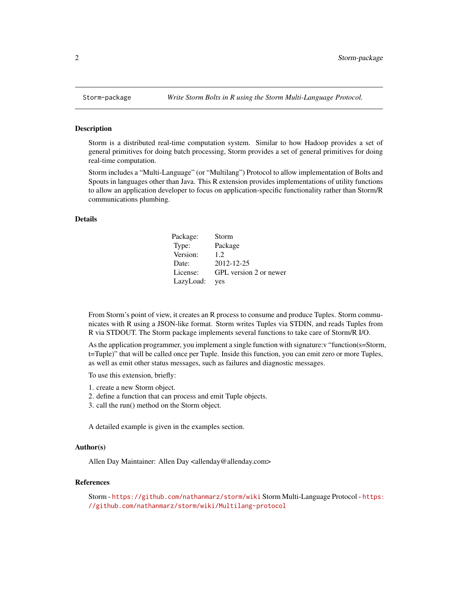#### Description

Storm is a distributed real-time computation system. Similar to how Hadoop provides a set of general primitives for doing batch processing, Storm provides a set of general primitives for doing real-time computation.

Storm includes a "Multi-Language" (or "Multilang") Protocol to allow implementation of Bolts and Spouts in languages other than Java. This R extension provides implementations of utility functions to allow an application developer to focus on application-specific functionality rather than Storm/R communications plumbing.

#### Details

| Package:  | Storm                  |
|-----------|------------------------|
| Type:     | Package                |
| Version:  | 12                     |
| Date:     | 2012-12-25             |
| License:  | GPL version 2 or newer |
| LazyLoad: | yes                    |

From Storm's point of view, it creates an R process to consume and produce Tuples. Storm communicates with R using a JSON-like format. Storm writes Tuples via STDIN, and reads Tuples from R via STDOUT. The Storm package implements several functions to take care of Storm/R I/O.

As the application programmer, you implement a single function with signature:v "function(s=Storm, t=Tuple)" that will be called once per Tuple. Inside this function, you can emit zero or more Tuples, as well as emit other status messages, such as failures and diagnostic messages.

To use this extension, briefly:

- 1. create a new Storm object.
- 2. define a function that can process and emit Tuple objects.
- 3. call the run() method on the Storm object.

A detailed example is given in the examples section.

#### Author(s)

Allen Day Maintainer: Allen Day <allenday@allenday.com>

#### References

Storm - <https://github.com/nathanmarz/storm/wiki> Storm Multi-Language Protocol - [https:](https://github.com/nathanmarz/storm/wiki/Multilang-protocol) [//github.com/nathanmarz/storm/wiki/Multilang-protocol](https://github.com/nathanmarz/storm/wiki/Multilang-protocol)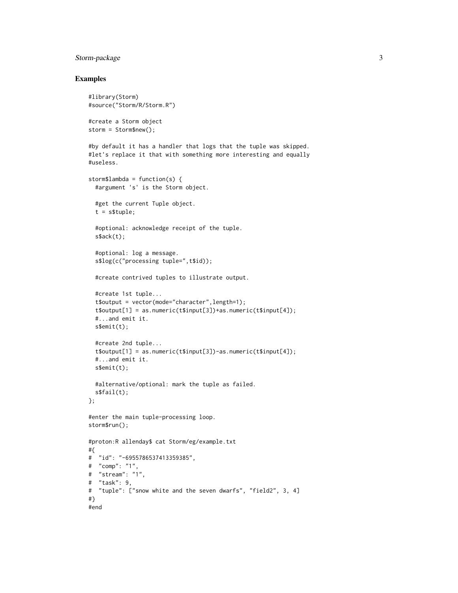#### Storm-package 3

#### Examples

```
#library(Storm)
#source("Storm/R/Storm.R")
#create a Storm object
storm = Storm$new();
#by default it has a handler that logs that the tuple was skipped.
#let's replace it that with something more interesting and equally
#useless.
storm$lambda = function(s) {
  #argument 's' is the Storm object.
  #get the current Tuple object.
  t = s$tuple;
  #optional: acknowledge receipt of the tuple.
  s$ack(t);
  #optional: log a message.
  s$log(c("processing tuple=",t$id));
  #create contrived tuples to illustrate output.
  #create 1st tuple...
  t$output = vector(mode="character",length=1);
  t$output[1] = as.numeric(t$input[3])+as.numeric(t$input[4]);
  #...and emit it.
  s$emit(t);
  #create 2nd tuple...
  t$output[1] = as.numeric(t$input[3])-as.numeric(t$input[4]);
  #...and emit it.
  s$emit(t);
  #alternative/optional: mark the tuple as failed.
  s$fail(t);
};
#enter the main tuple-processing loop.
storm$run();
#proton:R allenday$ cat Storm/eg/example.txt
#{
# "id": "-6955786537413359385",
# "comp": "1",
# "stream": "1",
# "task": 9,
# "tuple": ["snow white and the seven dwarfs", "field2", 3, 4]
#}
#end
```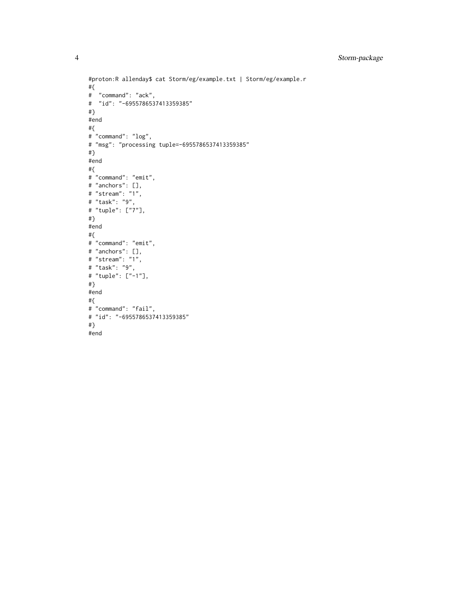```
#proton:R allenday$ cat Storm/eg/example.txt | Storm/eg/example.r
#{
# "command": "ack",
# "id": "-6955786537413359385"
#}
#end
#{
# "command": "log",
# "msg": "processing tuple=-6955786537413359385"
#}
#end
#{
# "command": "emit",
# "anchors": [],
# "stream": "1",
# "task": "9",
# "tuple": ["7"],
#}
#end
#{
# "command": "emit",
# "anchors": [],
# "stream": "1",
# "task": "9",
# "tuple": ["-1"],
#}
#end
#{
# "command": "fail",
# "id": "-6955786537413359385"
#}
#end
```